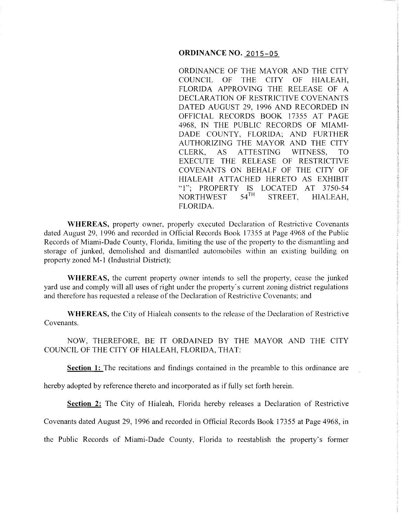## **ORDINANCE NO.** 2015-05

ORDINANCE OF THE MAYOR AND THE CITY COUNCIL OF THE CITY OF HIALEAH, FLORIDA APPROVING THE RELEASE OF A DECLARATION OF RESTRICTIVE COVENANTS DATED AUGUST 29, 1996 AND RECORDED IN OFFICIAL RECORDS BOOK 17355 AT PAGE 4968, IN THE PUBLIC RECORDS OF MIAMI-DADE COUNTY, FLORIDA; AND FURTHER AUTHORIZING THE MAYOR AND THE CITY CLERK, AS ATTESTING WITNESS, TO EXECUTE THE RELEASE OF RESTRICTIVE COVENANTS ON BEHALF OF THE CITY OF HIALEAH ATTACHED HERETO AS EXHIBIT "1"; PROPERTY IS LOCATED AT 3750-54<br>NORTHWEST 54<sup>TH</sup> STREET. HIALEAH NORTHWEST 54<sup>TH</sup> STREET, HIALEAH, FLORIDA.

**WHEREAS,** property owner, properly executed Declaration of Restrictive Covenants dated August 29, 1996 and recorded in Official Records Book 17355 at Page 4968 of the Public Records of Miami-Dade County, Florida, limiting the use of the property to the dismantling and storage of junked, demolished and dismantled automobiles within an existing building on property zoned M-1 (Industrial District);

**WHEREAS,** the current property owner intends to sell the property, cease the junked yard use and comply will all uses of right under the property's current zoning district regulations and therefore has requested a release of the Declaration of Restrictive Covenants; and

**WHEREAS,** the City of Hialeah consents to the release of the Declaration of Restrictive Covenants.

NOW, THEREFORE, BE IT ORDAINED BY THE MAYOR AND THE CITY COUNCIL OF THE CITY OF HIALEAH, FLORIDA, THAT:

**Section 1:** The recitations and findings contained in the preamble to this ordinance are

hereby adopted by reference thereto and incorporated as if fully set forth herein.

**Section** 2: The City of Hialeah, Florida hereby releases a Declaration of Restrictive

Covenants dated August 29, 1996 and recorded in Official Records Book 17355 at Page 4968, in

the Public Records of Miami-Dade County, Florida to reestablish the property's former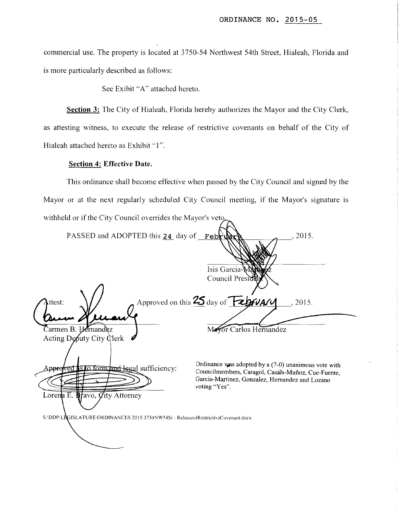commercial use. The property is located at 3750-54 Northwest 54th Street, Hialeah, Florida and is more particularly described as follows:

See Exibit "A" attached hereto.

**Section 3:** The City of Hialeah, Florida hereby authorizes the Mayor and the City Clerk, as attesting witness, to execute the release of restrictive covenants on behalf of the City of Hialeah attached hereto as Exhibit "1".

## **Section 4: Effective Date.**

This ordinance shall become effective when passed by the City Council and signed by the Mayor or at the next regularly scheduled City Council meeting, if the Mayor's signature is withheld or if the City Council overrides the Mayor's veto

| PASSED and ADOPTED this 24 day of                                                 | .2015.<br>Februder                                               |
|-----------------------------------------------------------------------------------|------------------------------------------------------------------|
|                                                                                   |                                                                  |
|                                                                                   | Isis Garcia-VAN<br>Council Presiden                              |
|                                                                                   |                                                                  |
| Attest:                                                                           | Approved on this 25 day of February<br>, 2015.                   |
|                                                                                   |                                                                  |
| Carmen B. Hernandez                                                               | Mayor Carlos Hernandez                                           |
| Acting Deputy City Clerk                                                          |                                                                  |
|                                                                                   | Ordinance was adopted by a (7-0) unanimous vote with             |
| pproved is to form and legal sufficiency:                                         | Councilmembers, Caragol, Casáls-Muñoz, Cue-Fuente,               |
|                                                                                   | Garcia-Martinez, Gonzalez, Hernandez and Lozano<br>voting "Yes". |
| Lorena E. Bravo, <i>Q</i> ity Attorney                                            |                                                                  |
| S:\DDP\LEGISLATURE\ORDINANCES 2015\3754NW54St - ReleaseofRestrictiveCovenant.docx |                                                                  |
|                                                                                   |                                                                  |
|                                                                                   |                                                                  |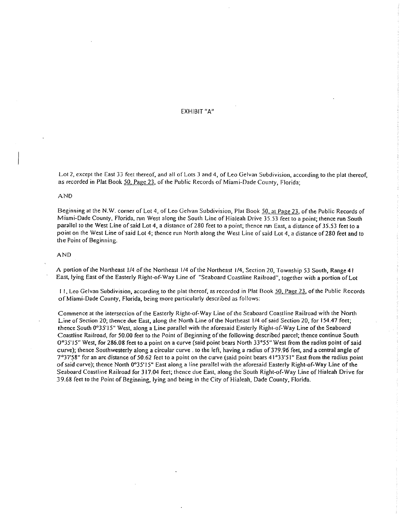EXHIBIT "A"

Lot 2, except the East 33 feet thereof, and all of Lots 3 and 4, of Leo Gelvan Subdivision, according to the plat thereof, as recorded in Plat Book *50,* Page 23, of the Public Records of Miami-Dade County, Florida;

### AND

Beginning at the N.W. corner of Lot 4, of Leo Gelvan Subdivision, Plat Book 50, at Page 23, of the Public Records of Miami-Dade County, Florida. run West along the South Line of Hialeah Drive 35.53 feet to a point; thence run South parallel to the West Line of said Lot 4, a distance of 280 feet to a point; thence run East, a distance of *35.53* feet to a point on the West Line of said Lot 4; thence run North along the West Line of said Lot 4, a distance of280 feet and to the Point of Beginning.

### AND

A portion of the Northeast 1/4 of the Northeast 1/4 of the Northeast 1/4, Section 20, Township 53 South, Range 41 East, lying East of the Easterly Right-of-Way Line of "Seaboard Coastline Railroad", together with a portion of Lot

I I, Leo Gelvan Subdivision, according to the plat thereof, as recorded in Plat Book *50.* Page 23, of the Public Records of Miami-Dade County, Florida, being more particularly described as follows:

Commence at the intersection of the Easterly Right-of-Way Line of the Seaboard Coastline Railroad with the North Line of Section 20; thence due East, along the North Line of the Northeast 1/4 of said Section 20, for 154.47 feet; rhence South 0°35'15" West, along a Line parallel with the aforesaid Easterly Right-of-Way Line of the Seaboard Coastline Railroad, for 50.00 feet to the Point of Beginning of the following described parcel; thence continue South 0°35' I *5"* West, for 286.08 feet to a point on a curve (said point bears North 33°55" West from the radius point of said curve); thence Southwesterly along a circular curve. to the left, having a radius of379.96 feet, and a central angle of  $7°37'58"$  for an arc distance of 50.62 feet to a point on the curve (said point bears  $41°33'51"$  East from the radius point of said curve); thence North 0°35' 15" East along a line parallel with the aforesaid Easterly Right-of-Way Line of the Seaboard Coastline Railroad for 317.04 feet; thence due East, along the South Right-of-Way Line of Hialeah Drive for 39.68 feet to the Point of Beginning, lying and being in the City of Hialeah, Dade County, Florida.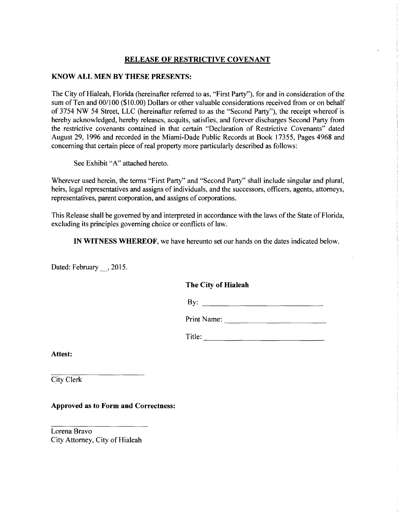# **RELEASE OF RESTRICTIVE COVENANT**

## **KNOW ALL MEN BY THESE PRESENTS:**

The City of Hialeah, Florida (hereinafter referred to as, "First Party"), for and in consideration of the sum of Ten and 00/100 (\$10.00) Dollars or other valuable considerations received from or on behalf of 3754 NW 54 Street, LLC (hereinafter referred to as the "Second Party"), the receipt whereof is hereby acknowledged, hereby releases, acquits, satisfies, and forever discharges Second Party from the restrictive covenants contained in that certain "Declaration of Restrictive Covenants" dated August 29, 1996 and recorded in the Miami-Dade Public Records at Book 17355, Pages 4968 and concerning that certain piece of real property more particularly described as follows:

See Exhibit "A" attached hereto.

Wherever used herein, the terms "First Party" and "Second Party" shall include singular and plural, heirs, legal representatives and assigns of individuals, and the successors, officers, agents, attorneys, representatives, parent corporation, and assigns of corporations.

This Release shall be governed by and interpreted in accordance with the laws of the State of Florida, excluding its principles governing choice or conflicts of law.

**IN WITNESS WHEREOF,** we have hereunto set our hands on the dates indicated below.

Dated: February \_\_, 2015.

# **The City of Hialeah**

By: --------------------------

Print Name: ------------------------

Title: -----------------------------

**Attest:** 

City Clerk

**Approved as to Form and Correctness:** 

Lorena Bravo City Attorney, City of Hialeah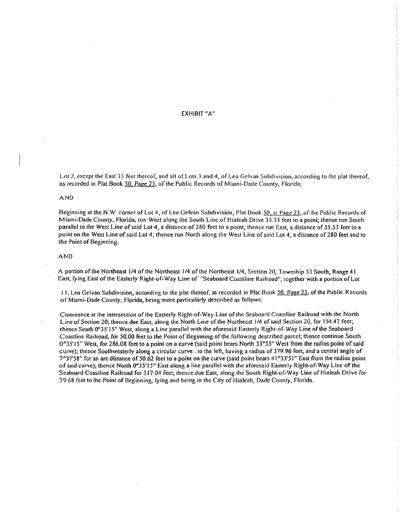EXHIBIT "A"

Lot 2, except the East 33 feet thereof, and all of Lots 3 and 4, of Leo Gelvan Subdivision, according to the plat thereof, as recorded in Plat Book 50, Page 23, of the Public Records of Miami-Dade County, Florida;

### AND

Beginning at the N.W. corner of Lot 4, of Leo Gelvan Subdivision, Plat Book 50, at Page 23, of the Public Records of Miami-Dade County, Florida, run West along the South Line of Hialeah Drive 35.53 feet to a point; thence run South parallel to the West Line of said Lot 4, a distance of280 feet to a point; thence run East, a distance of *35.53* feet to a point on the West Line of said Lot 4; thence run North along the West Line of said Lot 4, a distance of280 feet and to the Point of Beginning.

#### AND

A portion of the Northeast J/4 of the Northeast 1/4 of the Northeast 1/4, Section 20, Township 53 South, Range 4 I East, lying East of the Easterly Right-of-Way Line of "Seaboard Coastline Railroad", together with a portion of Lot

I I. Leo Gelvan Subdivision, according to the plat thereof, as recorded in Plat Book *50,* Page ?3, of the Public Records of Miami-Dade County, Florida, being more particularly described as follows:

Commence at the intersection ofthe Easterly Right-of-Way Line of the Seaboard Coastline Railroad with the North Line of Section 20; thence due East, along the North Line of the Northeast 1/4 of said Section 20, for *154.41* feet; thence South 0°35'15" West, along a Line parallel with the aforesaid Easterly Right-of-Way Line of the Seaboard Coastline Railroad, for 50.00 feet to the Point of Beginning of the following described parcel; thence continue South 0°35' I *5"* West, for 286.08 feet to a point on a curve (said point bears North 33°55" West from the radius point of said curve); thence Southwesterly along a circular curve. to the left, having a radius of379.96 feet, and a central angle of  $7^{\circ}37'58''$  for an arc distance of 50.62 feet to a point on the curve (said point bears  $41^{\circ}33'51''$  East from the radius point of said curve); thence North 0°35' 15" East along a line parallel with the aforesaid Easterly Right-of-Way Line of the Seaboard Coastline Railroad for 317.04 feet; thence due East, along the South Right-of-Way Line of Hialeah Drive for 39.68 feet to the Point of Beginning, lying and being in the City of Hialeah, Dade County, Florida.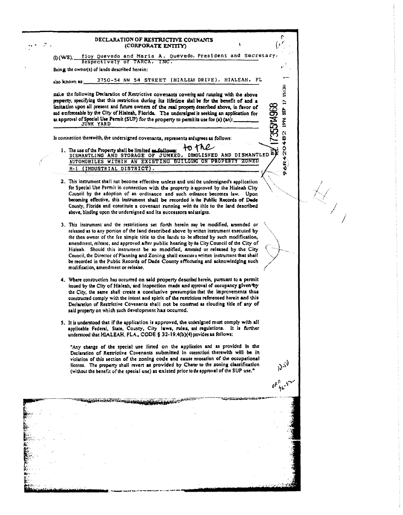### DECLARATION OF RESTRICTIVE COVENANTS (CORPORATE ENTITY)

Eloy Quevedo and Maria A. Quevedo, President and Secretary  $(D(WE))$ Respectively of TARCA, INC.

Being the owner(s) of lands described herein:

 $\mathcal{O}$  .

3750-54 NW 54 STREET (HIALEAH DRIVE), HIALEAH, FL also known as:

make the following Declaration of Restrictive covenants covering and running with the above property, specifying that this restriction during its lifetime shall be for the benefit of and a limitation upon all present and future owners of the real property described above, in favor of and enforceable by the City of Hialcah, Florida. The undersigned is seeking an application for an approval of Special Use Permit (SUP) for the property to permit its use for (a) (an): JUNK YARD

In connection therewith, the undersigned covenants, represents and agrees as follows:

to the 1. The use of the Property shall be limited at follows: TO J ME AUTOMOBILES WITHIN AN EXISTING BUILDING ON PROPERTY ZONED (INDUSTRIAL DISTRICT).  $M-1$ 

**GRAZO482 1996 SEP 17 15:30** 

ñ

735574968

- 2. This instrument shall not become effective unless and until the undersigned's application for Special Use Permit in connection with the property is approved by the Hialeah City Council by the adoption of an ordinance and such ordinance becomes law. Upon becoming effective, this instrument shall be recorded in the Public Records of Dade County, Florida and constitute a covenant running with the title to the land described above, binding upon the undersigned and its successors and assigns.
- 3. This instrument and the restrictions set forth herein may be modified, amended or released as to any portion of the land described above by written instrument executed by the then owner of the fee simple title to the lands to be affected by such modification, amendment, release, and approved after public hearing by the City Council of the City of Hialeah. Should this instrument be so modified, amended or released by the City Council, the Director of Planning and Zoning shall executes written instrument that shall be recorded in the Public Records of Dade County effectuating and acknowledging such modification, amendment or release.
- 4. Where construction has occurred on said property described herein, pursuant to a permit issued by the City of Hialeah, and Inspection made and sproval of occupancy given by the City, the same shall create a conclusive presumption that the improvements thus constructed comply with the intent and spirit of the restrictions referenced herein and this Declaration of Restrictive Covenants shall not be construed as clouding title of any of said property on which such development has occurred.
- 5. It is understood that if the application is approved, the undersigned must comply with all applicable Federal, State, County, City laws, rules, and regulations. It is further understood that HIALEAH, FLA., CODE § 32-19.4(b)(4) provides as follows:

"Any change of the special use listed on the application and as provided in the Declaration of Restrictive Covenants submitted in connection therewith will be in violation of this section of the zoning code and cause revocation of the occupational license. The property shall revert as provided by Charter to the zoning classification (without the benefit of the special use) as existed prior to the approval of the SUP use."

SENASKOARD GAMANIA